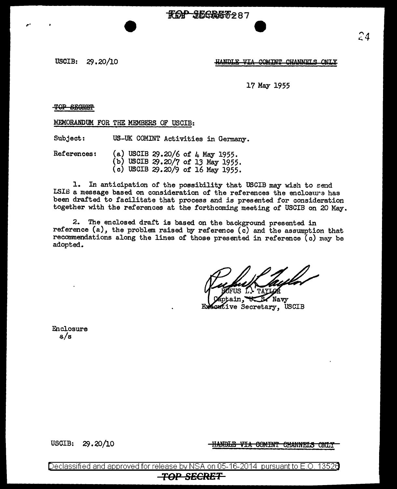**ROP JEGRET287** 

USCIB: 29.20/10

HANDLE VTA COMINT CHANNELS ONLY

17 May 1955

## T9P SB9REH'

,.

MEMORANDUM FOR THE MEMBERS OF USCIB:

Subject: US-UK COMINT Activities in Germany.

References: (a) USCIB 29.20/6 of 4 May 1955. (b) USCIB  $29.20/7$  of 13 May 1955. (c) USCIB 29.20/9 of 16 May 1955.

1. In anticipation of the possibility that USCIB may wish to send LSIB a message based on consideration of the references the enclosure has been drafted to facilitate that process and is presented for consideration together with the references at the forthcoming meeting of USCIB on 20 May.

2. The enclosed draft is based on the background presented in reference (a), the problem raised by reference ( $\bar{c}$ ) and the assumption that recommendations along the lines of those presented in reference (c) may be adopted.

Navv ive Secretary, USCIB

Enclosure a/s

USCIB: 29.20/10 **IIANDLE VIA COMINT CHANNELS ONLY** 

Declassified and approved for release by NSA on 05-16-2014 pursuant to E.O. 13526 *TOP* **SECRET**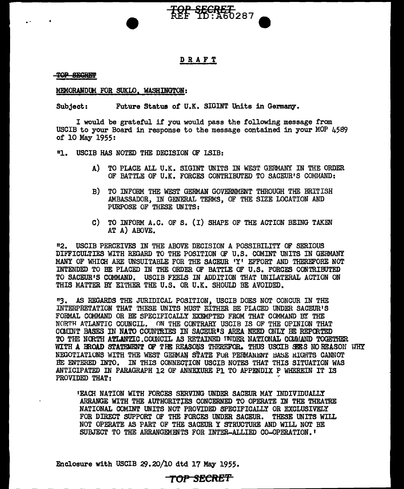

## DRAFT

TOP SEGREP

#### MEMORANDUM FOR SUKLO. WASHINGTON:

Subject: Future Status of U.K. SIGINT Units in Germany.

I would be grateful if you would pass the following message from USCIB to your Board in response to the message contained in your MOP 4589 of 10 May 1955:

"1. USCIB HAS NOTED THE DECISION OF LSIB:

- A) TO PLACE ALL U.K. SIGINT UNITS IN WEST GERMANY IN THE ORDER OF BATTLE OF U.K. FORCES CONTRIBUTED TO SACEUR'S COMMAND:
- B) TO INFORM THE WEST GERMAN GOVERNMENT THROUGH THE BRIT ISH AMBASSADOR, IN GENERAL TERMS, OF THE SIZE LOCATION AND PURPOSE OF THESE UNITS:
- C) TO INFORM A.C. OF S. (I) SHAPE OF THE ACTION BEING TAKEN AT A) ABOVE.

<sup>11</sup>2. USCIB PERCEIVES IN THE ABOVE DECISION A POSSIBILITY OF SERIOUS DIFFICULTIES WITH REGARD TO THE POSITION OF U.S. COMINT UNITS IN GERMANY MANY OF WHICH ARE UNSUITABLE FOR THE SACEUR 'Y' EFFORT AND THEREFORE NOT INTENDED TO BE PLACED IN THE ORDER OF BATTLE OF U.S. FORCFS CONTRIBUTED TO SACEUR'S COMMAND. USCIB FEELS IN ADDITION THAT UNILATERAL ACTION ON THIS MATTER BY EITHER THE U.S. OR U.K. SHOULD BE AVOIDED.

"3. AS REGARDS THE JURIDICAL POSITION, USCIB DOES NOT CONCUR IN THE INTERPRETATION THAT THESE UNITS MUST EITHER BE PLACED UNDER SACEUR'S FORMAL COMMAND OR BE SPECIFICALLY EXEMPTED FROM THAT COMMAND BY THE NORTH ATLANTIC COUNCIL. ON THE CONTRARY USCIB IS OF THE OPINION THAT COMINT BASES IN NATO COUNTRIES IN SACEUR'S AREA NEED ONLY BE REPORTED TO THE NORTH ATLANTIC COUNCIL AS RETAINED INDER NATIONAL COMMAND TOGETHER WITH A BROAD STATEMENT OF THE REASONS THEREFOR. THUS USCIB SEES NO REASON WHY NEGOTIATIONS WITH THE WEST GERMAN STATE FOR PERMANENT BASE RIGHTS CANNOT BE ENTERED INTO. IN THIS CONNEC'fiON USCIB NOTES THAT THIS SITUATION WAS ANTICIPATED IN PARAGRAPH 12 OF ANNEXURE Pl TO APPENDIX P WHEREIN IT IS PROVIDED THAT:

•EACH NATION WITH FORCES SERVING UNDER SACEUR MAY INDIVIDUALLY ARRANGE WITH THE AUTHORITlES CONCERNED TO OPERATE IN THE THEATRE NATIONAL COMINT UNITS NOT PROVIDED SPECIFICALLY OR EXCLUSIVELY FOR DIRECT SUPPORT OF THE FORCES UNDER SACEUR. THESE UNITS WILL NOT OPERATE AS PART OF THE SACEUR Y STRUCTURE AND WILL NOT BE SUBJECT TO THE ARRANGEMENTS FOR INTER-ALLIED CO-OPERATION. <sup>t</sup>

Enclosure with USCIB 29.20/10 dtd 17 May 1955.

# TOP SECRE'f'